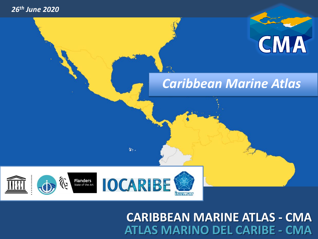#### *26th June 2020*



### *Caribbean Marine Atlas*



弘.

### **CARIBBEAN MARINE ATLAS - CMA ATLAS MARINO DEL CARIBE - CMA**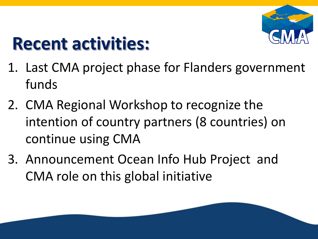

# **Recent activities:**

- 1. Last CMA project phase for Flanders government funds
- 2. CMA Regional Workshop to recognize the intention of country partners (8 countries) on continue using CMA
- 3. Announcement Ocean Info Hub Project and CMA role on this global initiative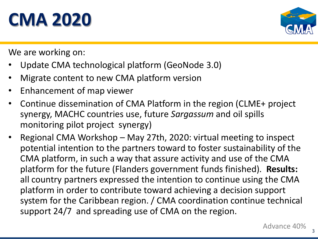# **CMA 2020**



We are working on:

- Update CMA technological platform (GeoNode 3.0)
- Migrate content to new CMA platform version
- Enhancement of map viewer
- Continue dissemination of CMA Platform in the region (CLME+ project synergy, MACHC countries use, future *Sargassum* and oil spills monitoring pilot project synergy)
- Regional CMA Workshop May 27th, 2020: virtual meeting to inspect potential intention to the partners toward to foster sustainability of the CMA platform, in such a way that assure activity and use of the CMA platform for the future (Flanders government funds finished). **Results:** all country partners expressed the intention to continue using the CMA platform in order to contribute toward achieving a decision support system for the Caribbean region. / CMA coordination continue technical support 24/7 and spreading use of CMA on the region.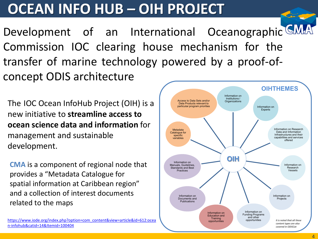## **OCEAN INFO HUB – OIH PROJECT**

Development of an International Oceanographic GMA Commission IOC clearing house mechanism for the transfer of marine technology powered by a proof-ofconcept ODIS architecture

The IOC Ocean InfoHub Project (OIH) is a new initiative to **streamline access to ocean science data and information** for management and sustainable development.

**CMA** is a component of regional node that provides a "Metadata Catalogue for spatial information at Caribbean region" and a collection of interest documents related to the maps

[https://www.iode.org/index.php?option=com\\_content&view=article&id=612:ocea](about:blank) n-infohub&catid=14&Itemid=100404